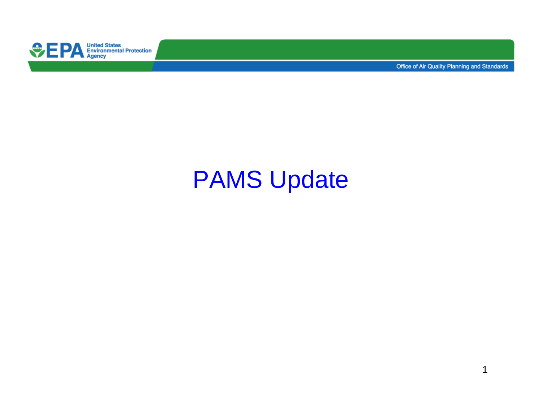

Office of Air Quality Planning and Standards

# PAMS Update

1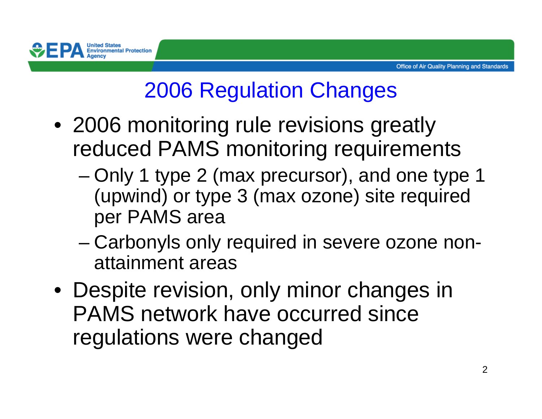

# 2006 Regulation Changes

- 2006 monitoring rule revisions greatly reduced PAMS monitoring requirements
	- – Only 1 type 2 (max precursor), and one type 1 (upwind) or type 3 (max ozone) site required per PAMS area
	- – Carbonyls only required in severe ozone nonattainment areas
- Despite revision, only minor changes in PAMS network have occurred since regulations were changed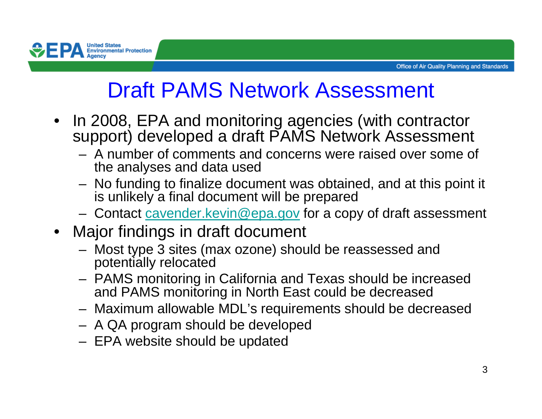

# Draft PAMS Network Assessment

- • In 2008, EPA and monitoring agencies (with contractor support) developed a draft PAMS Network Assessment
	- A number of comments and concerns were raised over some of the analyses and data used
	- No funding to finalize docu No funding to finalize document was obtained, and at this point it is unlikely a final document will be prepared
	- $-$  Contact cavender keyin@ena goy for a corr Contact cavender.kevin@epa.gov for a copy of draft assessment
- Major findings in draft document
	- Most type 3 sites (max ozone) should be reassessed and potentially relocated
	- P∆MS monitorina ii PAMS monitoring in California and Texas should be increased and PAMS monitoring in North East could be decreased
	- Mavimum allowahla MDL's requirements should he dec Maximum allowable MDL's requirements should be decreased
	- A QA program should be developed
	- EPA website should be updated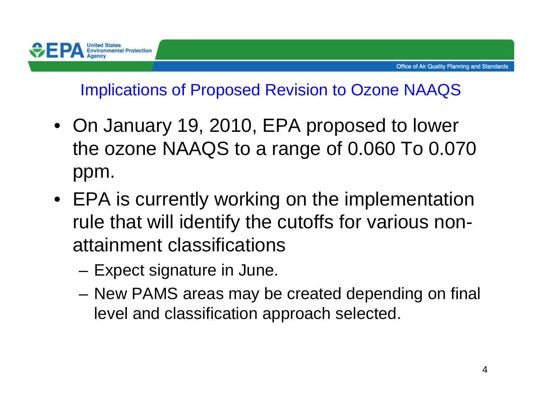#### Implications of Proposed Revision to Ozone NAAQS

- On January 19, 2010, EPA proposed to lower the ozone NAAQS to a range of 0.060 To 0.070 ppm.
- EPA is currently working on the implementation rule that will identify the cutoffs for various nonattainment classifications
	- –Expect signature in June.

**United States**<br>Environmental Protection

 New PAMS areas may be created depending on final level and classification approach selected.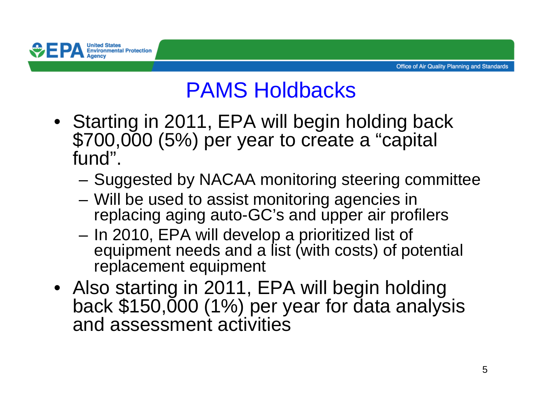

### PAMS Holdbacks

- Starting in 2011, EPA will begin holding back \$700,000 (5%) per year to create a "capital fund".
	- Suggested by NACAA monitoring steering committee
	- –Will be used to assist monitoring agencies in replacing aging auto-GC's and upper air profilers
	- – In 2010, EPA will develop a prioritized list of equipment needs and a list (with costs) of potential replacement equipment
- Also starting in 2011, EPA will begin holding back \$150,000 (1%) per year for data analysis and assessment activities